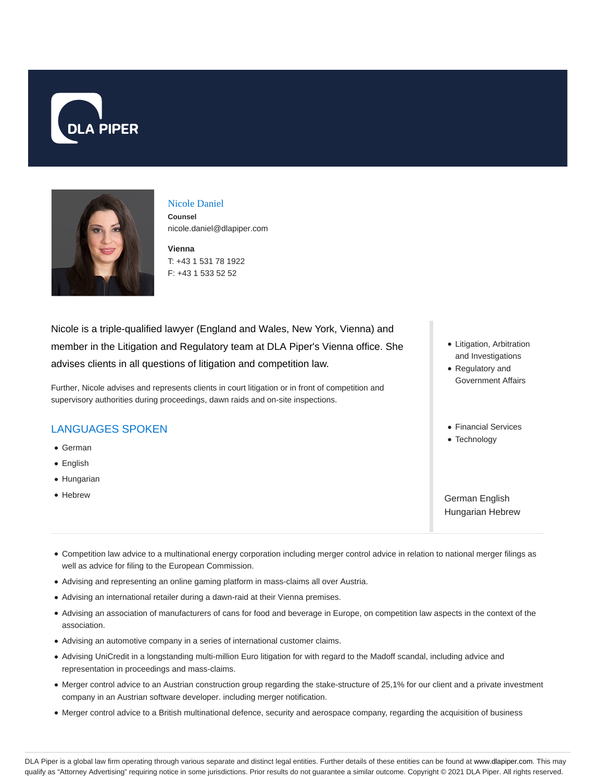



# Nicole Daniel

**Counsel** nicole.daniel@dlapiper.com

**Vienna** T: +43 1 531 78 1922 F: +43 1 533 52 52

Nicole is a triple-qualified lawyer (England and Wales, New York, Vienna) and member in the Litigation and Regulatory team at DLA Piper's Vienna office. She advises clients in all questions of litigation and competition law.

Further, Nicole advises and represents clients in court litigation or in front of competition and supervisory authorities during proceedings, dawn raids and on-site inspections.

## LANGUAGES SPOKEN

- German
- English
- Hungarian
- Hebrew
- Litigation, Arbitration and Investigations
- Regulatory and Government Affairs
- Financial Services
- Technology

German English Hungarian Hebrew

- Competition law advice to a multinational energy corporation including merger control advice in relation to national merger filings as well as advice for filing to the European Commission.
- Advising and representing an online gaming platform in mass-claims all over Austria.
- Advising an international retailer during a dawn-raid at their Vienna premises.
- Advising an association of manufacturers of cans for food and beverage in Europe, on competition law aspects in the context of the association.
- Advising an automotive company in a series of international customer claims.
- Advising UniCredit in a longstanding multi-million Euro litigation for with regard to the Madoff scandal, including advice and representation in proceedings and mass-claims.
- Merger control advice to an Austrian construction group regarding the stake-structure of 25,1% for our client and a private investment company in an Austrian software developer. including merger notification.
- Merger control advice to a British multinational defence, security and aerospace company, regarding the acquisition of business